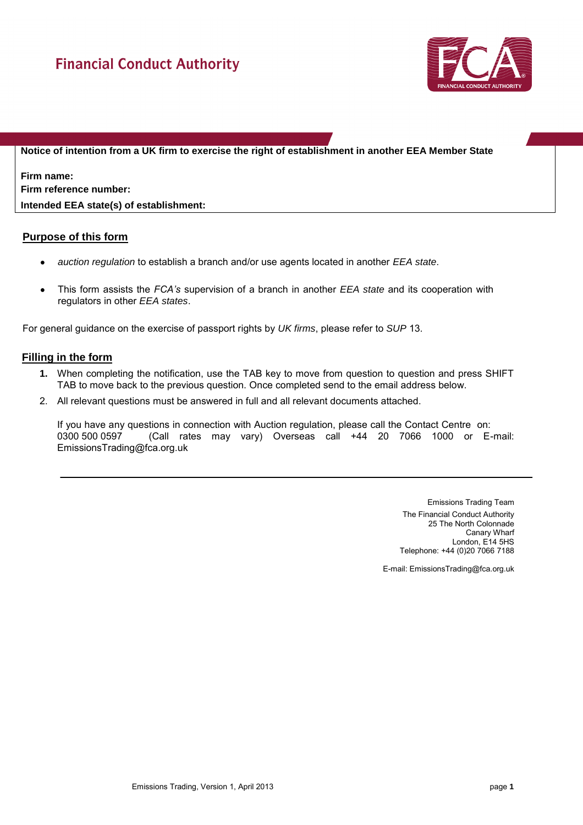

**Notice of intention from a UK firm to exercise the right of establishment in another EEA Member State** 

**Firm name: Firm reference number:**

**Intended EEA state(s) of establishment:**

## **Purpose of this form**

- *auction regulation* to establish a branch and/or use agents located in another *EEA state*.
- This form assists the *FCA's* supervision of a branch in another *EEA state* and its cooperation with regulators in other *EEA states*.

For general guidance on the exercise of passport rights by *UK firms*, please refer to *SUP* 13.

## **Filling in the form**

- **1.** When completing the notification, use the TAB key to move from question to question and press SHIFT TAB to move back to the previous question. Once completed send to the email address below.
- 2. All relevant questions must be answered in full and all relevant documents attached.

If you have any questions in connection with Auction regulation, please call the Contact Centre on: 0300 500 0597 (Call rates may vary) Overseas call +44 20 7066 1000 or E-mail: EmissionsTrading@fca.org.uk

> Emissions Trading Team The Financial Conduct Authority 25 The North Colonnade Canary Wharf London, E14 5HS Telephone: +44 (0)20 7066 7188

E-mail: EmissionsTrading@fca.org.uk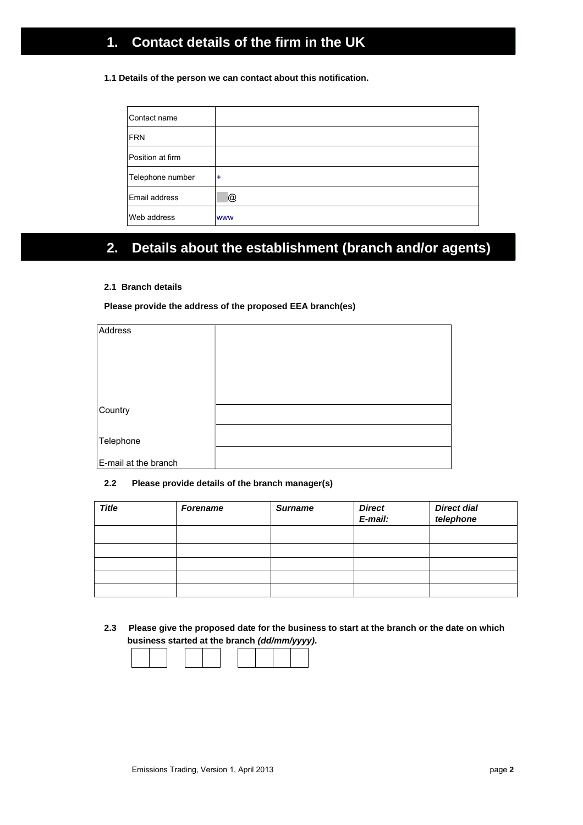# **1. Contact details of the firm in the UK**

#### **1.1 Details of the person we can contact about this notification.**

| Contact name     |            |
|------------------|------------|
| <b>FRN</b>       |            |
| Position at firm |            |
| Telephone number | $\ddot{}$  |
| Email address    | @          |
| Web address      | <b>WWW</b> |

# **2. Details about the establishment (branch and/or agents)**

#### **2.1 Branch details**

#### **Please provide the address of the proposed EEA branch(es)**

| Address              |  |
|----------------------|--|
|                      |  |
|                      |  |
|                      |  |
|                      |  |
|                      |  |
|                      |  |
| Country              |  |
|                      |  |
|                      |  |
| Telephone            |  |
|                      |  |
| E-mail at the branch |  |

### **2.2 Please provide details of the branch manager(s)**

| <b>Title</b> | <b>Forename</b> | <b>Surname</b> | <b>Direct</b><br>E-mail: | <b>Direct dial</b><br>telephone |
|--------------|-----------------|----------------|--------------------------|---------------------------------|
|              |                 |                |                          |                                 |
|              |                 |                |                          |                                 |
|              |                 |                |                          |                                 |
|              |                 |                |                          |                                 |
|              |                 |                |                          |                                 |

**2.3 Please give the proposed date for the business to start at the branch or the date on which business started at the branch** *(dd/mm/yyyy)***.**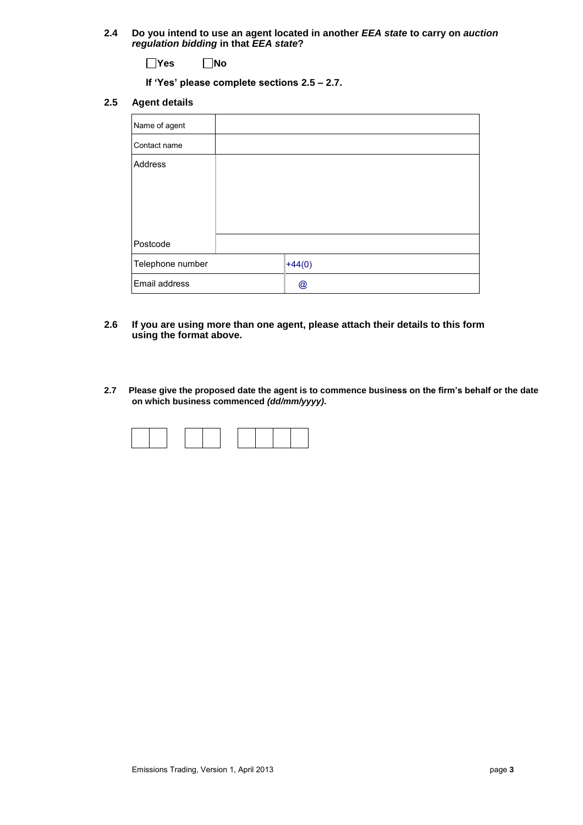**2.4 Do you intend to use an agent located in another** *EEA state* **to carry on** *auction regulation bidding* **in that** *EEA state***?** 

**Yes No**

**If 'Yes' please complete sections 2.5 – 2.7.** 

#### **2.5 Agent details**

| Name of agent    |          |
|------------------|----------|
| Contact name     |          |
| Address          |          |
| Postcode         |          |
| Telephone number | $+44(0)$ |
| Email address    | @        |

- **2.6 If you are using more than one agent, please attach their details to this form using the format above.**
- **2.7 Please give the proposed date the agent is to commence business on the firm's behalf or the date on which business commenced** *(dd/mm/yyyy)***.**